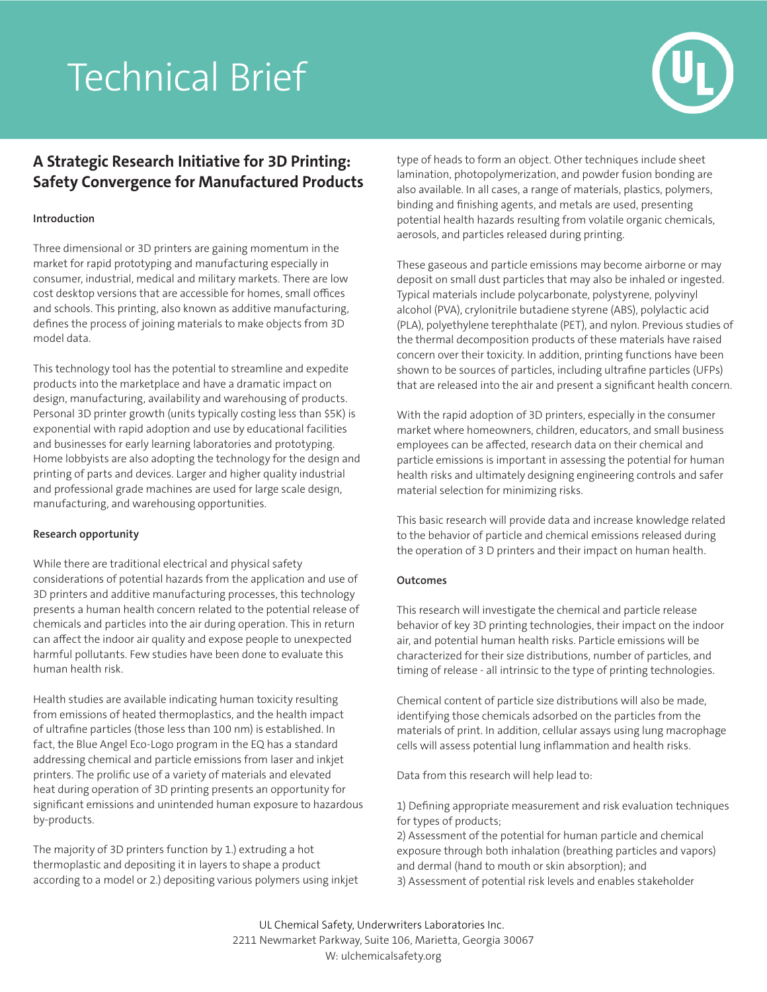# Technical Brief



# **A Strategic Research Initiative for 3D Printing: Safety Convergence for Manufactured Products**

# **Introduction**

Three dimensional or 3D printers are gaining momentum in the market for rapid prototyping and manufacturing especially in consumer, industrial, medical and military markets. There are low cost desktop versions that are accessible for homes, small offices and schools. This printing, also known as additive manufacturing, defines the process of joining materials to make objects from 3D model data.

This technology tool has the potential to streamline and expedite products into the marketplace and have a dramatic impact on design, manufacturing, availability and warehousing of products. Personal 3D printer growth (units typically costing less than \$5K) is exponential with rapid adoption and use by educational facilities and businesses for early learning laboratories and prototyping. Home lobbyists are also adopting the technology for the design and printing of parts and devices. Larger and higher quality industrial and professional grade machines are used for large scale design, manufacturing, and warehousing opportunities.

## **Research opportunity**

While there are traditional electrical and physical safety considerations of potential hazards from the application and use of 3D printers and additive manufacturing processes, this technology presents a human health concern related to the potential release of chemicals and particles into the air during operation. This in return can affect the indoor air quality and expose people to unexpected harmful pollutants. Few studies have been done to evaluate this human health risk.

Health studies are available indicating human toxicity resulting from emissions of heated thermoplastics, and the health impact of ultrafine particles (those less than 100 nm) is established. In fact, the Blue Angel Eco-Logo program in the EQ has a standard addressing chemical and particle emissions from laser and inkjet printers. The prolific use of a variety of materials and elevated heat during operation of 3D printing presents an opportunity for significant emissions and unintended human exposure to hazardous by-products.

The majority of 3D printers function by 1.) extruding a hot thermoplastic and depositing it in layers to shape a product according to a model or 2.) depositing various polymers using inkjet type of heads to form an object. Other techniques include sheet lamination, photopolymerization, and powder fusion bonding are also available. In all cases, a range of materials, plastics, polymers, binding and finishing agents, and metals are used, presenting potential health hazards resulting from volatile organic chemicals, aerosols, and particles released during printing.

These gaseous and particle emissions may become airborne or may deposit on small dust particles that may also be inhaled or ingested. Typical materials include polycarbonate, polystyrene, polyvinyl alcohol (PVA), crylonitrile butadiene styrene (ABS), polylactic acid (PLA), polyethylene terephthalate (PET), and nylon. Previous studies of the thermal decomposition products of these materials have raised concern over their toxicity. In addition, printing functions have been shown to be sources of particles, including ultrafine particles (UFPs) that are released into the air and present a significant health concern.

With the rapid adoption of 3D printers, especially in the consumer market where homeowners, children, educators, and small business employees can be affected, research data on their chemical and particle emissions is important in assessing the potential for human health risks and ultimately designing engineering controls and safer material selection for minimizing risks.

This basic research will provide data and increase knowledge related to the behavior of particle and chemical emissions released during the operation of 3 D printers and their impact on human health.

## **Outcomes**

This research will investigate the chemical and particle release behavior of key 3D printing technologies, their impact on the indoor air, and potential human health risks. Particle emissions will be characterized for their size distributions, number of particles, and timing of release - all intrinsic to the type of printing technologies.

Chemical content of particle size distributions will also be made, identifying those chemicals adsorbed on the particles from the materials of print. In addition, cellular assays using lung macrophage cells will assess potential lung inflammation and health risks.

Data from this research will help lead to:

1) Defining appropriate measurement and risk evaluation techniques for types of products;

2) Assessment of the potential for human particle and chemical exposure through both inhalation (breathing particles and vapors) and dermal (hand to mouth or skin absorption); and 3) Assessment of potential risk levels and enables stakeholder

UL Chemical Safety, Underwriters Laboratories Inc. 2211 Newmarket Parkway, Suite 106, Marietta, Georgia 30067 W: ulchemicalsafety.org